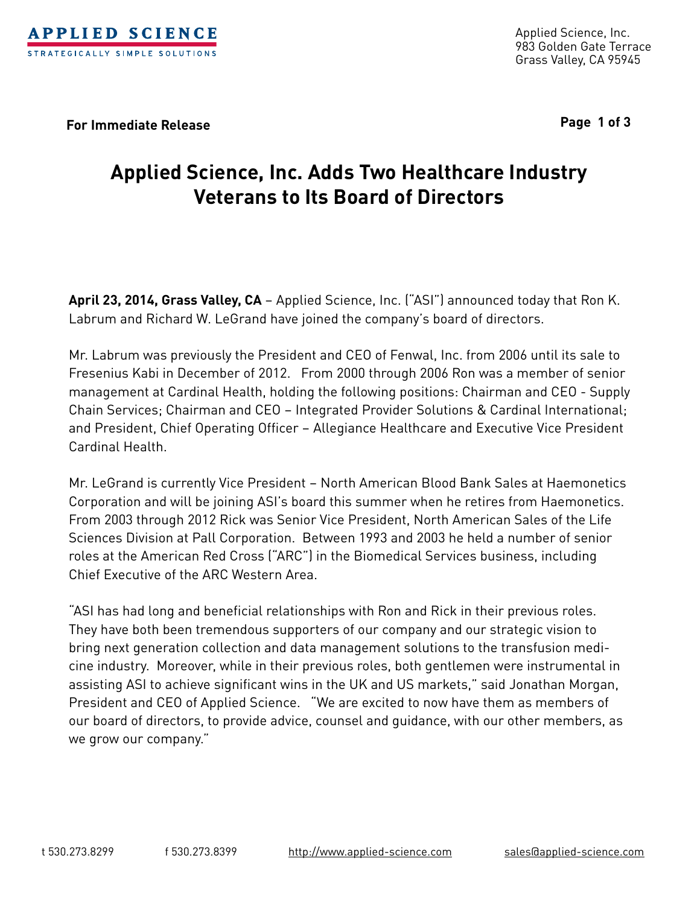

**For Immediate Release Page 1 of 3**

## **Applied Science, Inc. Adds Two Healthcare Industry Veterans to Its Board of Directors**

**April 23, 2014, Grass Valley, CA** – Applied Science, Inc. ("ASI") announced today that Ron K. Labrum and Richard W. LeGrand have joined the company's board of directors.

Mr. Labrum was previously the President and CEO of Fenwal, Inc. from 2006 until its sale to Fresenius Kabi in December of 2012. From 2000 through 2006 Ron was a member of senior management at Cardinal Health, holding the following positions: Chairman and CEO - Supply Chain Services; Chairman and CEO – Integrated Provider Solutions & Cardinal International; and President, Chief Operating Officer – Allegiance Healthcare and Executive Vice President Cardinal Health.

Mr. LeGrand is currently Vice President – North American Blood Bank Sales at Haemonetics Corporation and will be joining ASI's board this summer when he retires from Haemonetics. From 2003 through 2012 Rick was Senior Vice President, North American Sales of the Life Sciences Division at Pall Corporation. Between 1993 and 2003 he held a number of senior roles at the American Red Cross ("ARC") in the Biomedical Services business, including Chief Executive of the ARC Western Area.

"ASI has had long and beneficial relationships with Ron and Rick in their previous roles. They have both been tremendous supporters of our company and our strategic vision to bring next generation collection and data management solutions to the transfusion medicine industry. Moreover, while in their previous roles, both gentlemen were instrumental in assisting ASI to achieve significant wins in the UK and US markets," said Jonathan Morgan, President and CEO of Applied Science. "We are excited to now have them as members of our board of directors, to provide advice, counsel and guidance, with our other members, as we grow our company."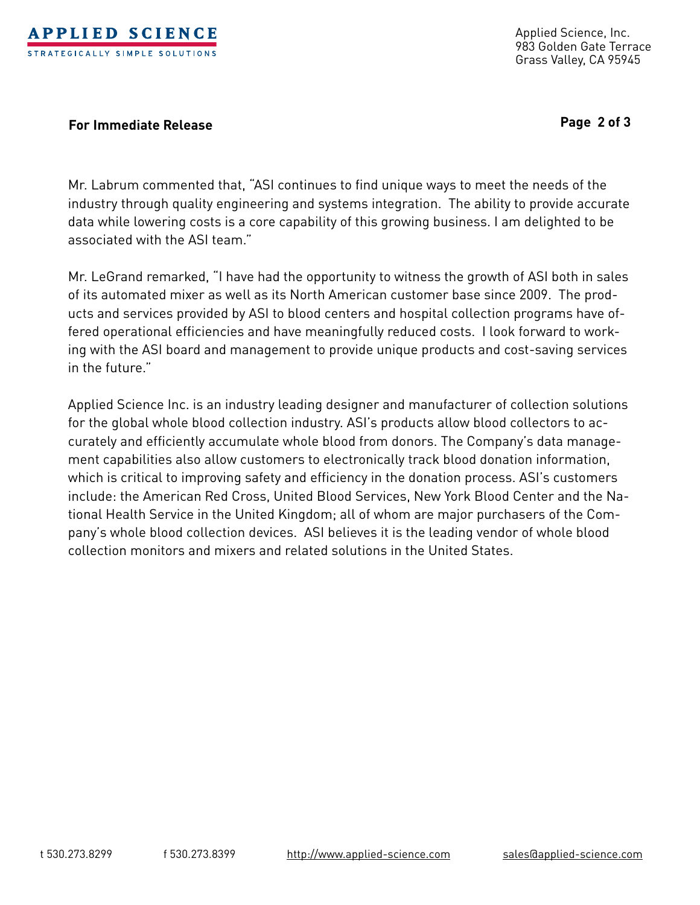

Applied Science, Inc. 983 Golden Gate Terrace Grass Valley, CA 95945

**For Immediate Release Page 2 of 3**

Mr. Labrum commented that, "ASI continues to find unique ways to meet the needs of the industry through quality engineering and systems integration. The ability to provide accurate data while lowering costs is a core capability of this growing business. I am delighted to be associated with the ASI team."

Mr. LeGrand remarked, "I have had the opportunity to witness the growth of ASI both in sales of its automated mixer as well as its North American customer base since 2009. The products and services provided by ASI to blood centers and hospital collection programs have offered operational efficiencies and have meaningfully reduced costs. I look forward to working with the ASI board and management to provide unique products and cost-saving services in the future."

Applied Science Inc. is an industry leading designer and manufacturer of collection solutions for the global whole blood collection industry. ASI's products allow blood collectors to accurately and efficiently accumulate whole blood from donors. The Company's data management capabilities also allow customers to electronically track blood donation information, which is critical to improving safety and efficiency in the donation process. ASI's customers include: the American Red Cross, United Blood Services, New York Blood Center and the National Health Service in the United Kingdom; all of whom are major purchasers of the Company's whole blood collection devices. ASI believes it is the leading vendor of whole blood collection monitors and mixers and related solutions in the United States.